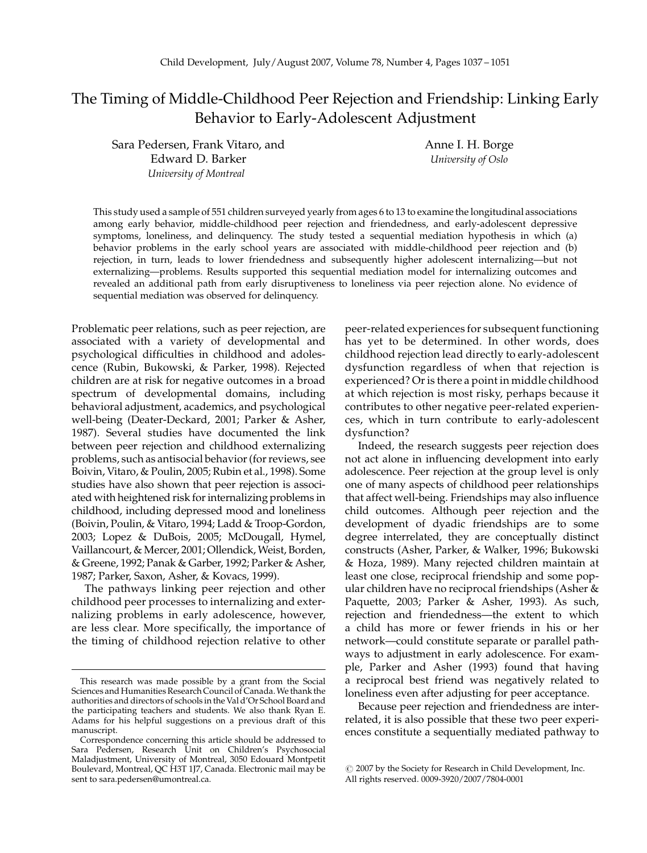# The Timing of Middle-Childhood Peer Rejection and Friendship: Linking Early Behavior to Early-Adolescent Adjustment

Sara Pedersen, Frank Vitaro, and Edward D. Barker University of Montreal

Anne I. H. Borge University of Oslo

This study used a sample of 551 children surveyed yearly from ages 6 to 13 to examine the longitudinal associations among early behavior, middle-childhood peer rejection and friendedness, and early-adolescent depressive symptoms, loneliness, and delinquency. The study tested a sequential mediation hypothesis in which (a) behavior problems in the early school years are associated with middle-childhood peer rejection and (b) rejection, in turn, leads to lower friendedness and subsequently higher adolescent internalizing—but not externalizing—problems. Results supported this sequential mediation model for internalizing outcomes and revealed an additional path from early disruptiveness to loneliness via peer rejection alone. No evidence of sequential mediation was observed for delinquency.

Problematic peer relations, such as peer rejection, are associated with a variety of developmental and psychological difficulties in childhood and adolescence (Rubin, Bukowski, & Parker, 1998). Rejected children are at risk for negative outcomes in a broad spectrum of developmental domains, including behavioral adjustment, academics, and psychological well-being (Deater-Deckard, 2001; Parker & Asher, 1987). Several studies have documented the link between peer rejection and childhood externalizing problems, such as antisocial behavior (for reviews, see Boivin, Vitaro, & Poulin, 2005; Rubin et al., 1998). Some studies have also shown that peer rejection is associated with heightened risk for internalizing problems in childhood, including depressed mood and loneliness (Boivin, Poulin, & Vitaro, 1994; Ladd & Troop-Gordon, 2003; Lopez & DuBois, 2005; McDougall, Hymel, Vaillancourt, & Mercer, 2001; Ollendick, Weist, Borden, & Greene, 1992; Panak & Garber, 1992; Parker & Asher, 1987; Parker, Saxon, Asher, & Kovacs, 1999).

The pathways linking peer rejection and other childhood peer processes to internalizing and externalizing problems in early adolescence, however, are less clear. More specifically, the importance of the timing of childhood rejection relative to other peer-related experiences for subsequent functioning has yet to be determined. In other words, does childhood rejection lead directly to early-adolescent dysfunction regardless of when that rejection is experienced? Or is there a point in middle childhood at which rejection is most risky, perhaps because it contributes to other negative peer-related experiences, which in turn contribute to early-adolescent dysfunction?

Indeed, the research suggests peer rejection does not act alone in influencing development into early adolescence. Peer rejection at the group level is only one of many aspects of childhood peer relationships that affect well-being. Friendships may also influence child outcomes. Although peer rejection and the development of dyadic friendships are to some degree interrelated, they are conceptually distinct constructs (Asher, Parker, & Walker, 1996; Bukowski & Hoza, 1989). Many rejected children maintain at least one close, reciprocal friendship and some popular children have no reciprocal friendships (Asher & Paquette, 2003; Parker & Asher, 1993). As such, rejection and friendedness—the extent to which a child has more or fewer friends in his or her network—could constitute separate or parallel pathways to adjustment in early adolescence. For example, Parker and Asher (1993) found that having a reciprocal best friend was negatively related to loneliness even after adjusting for peer acceptance.

Because peer rejection and friendedness are interrelated, it is also possible that these two peer experiences constitute a sequentially mediated pathway to

This research was made possible by a grant from the Social Sciences and Humanities Research Council of Canada.We thank the authorities and directors of schools in the Val d'Or School Board and the participating teachers and students. We also thank Ryan E. Adams for his helpful suggestions on a previous draft of this manuscript.

Correspondence concerning this article should be addressed to Sara Pedersen, Research Unit on Children's Psychosocial Maladjustment, University of Montreal, 3050 Edouard Montpetit Boulevard, Montreal, QC H3T 1J7, Canada. Electronic mail may be sent to sara.pedersen@umontreal.ca.

 $\circ$  2007 by the Society for Research in Child Development, Inc. All rights reserved. 0009-3920/2007/7804-0001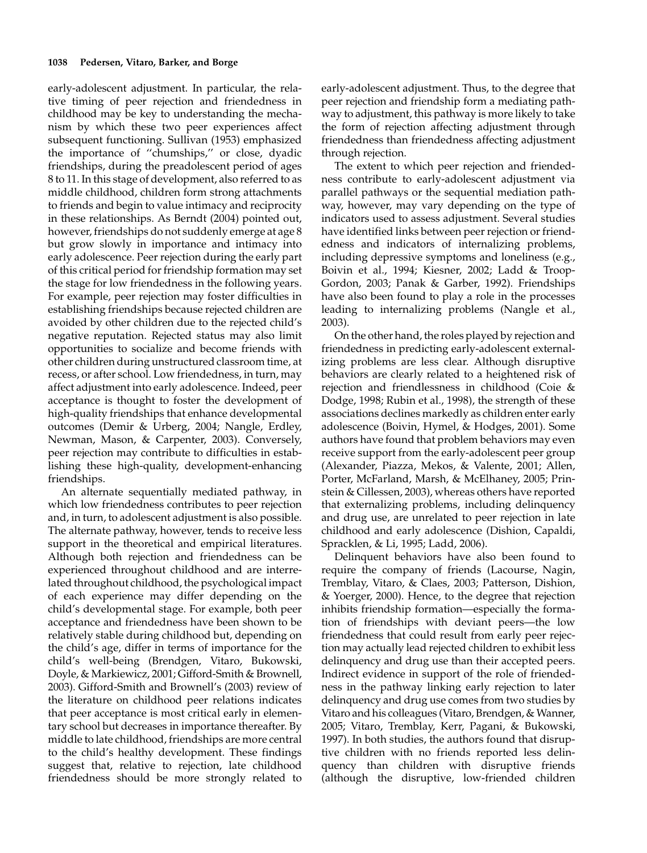early-adolescent adjustment. In particular, the relative timing of peer rejection and friendedness in childhood may be key to understanding the mechanism by which these two peer experiences affect subsequent functioning. Sullivan (1953) emphasized the importance of ''chumships,'' or close, dyadic friendships, during the preadolescent period of ages 8 to 11. In this stage of development, also referred to as middle childhood, children form strong attachments to friends and begin to value intimacy and reciprocity in these relationships. As Berndt (2004) pointed out, however, friendships do not suddenly emerge at age 8 but grow slowly in importance and intimacy into early adolescence. Peer rejection during the early part of this critical period for friendship formation may set the stage for low friendedness in the following years. For example, peer rejection may foster difficulties in establishing friendships because rejected children are avoided by other children due to the rejected child's negative reputation. Rejected status may also limit opportunities to socialize and become friends with other children during unstructured classroom time, at recess, or after school. Low friendedness, in turn, may affect adjustment into early adolescence. Indeed, peer acceptance is thought to foster the development of high-quality friendships that enhance developmental outcomes (Demir & Urberg, 2004; Nangle, Erdley, Newman, Mason, & Carpenter, 2003). Conversely, peer rejection may contribute to difficulties in establishing these high-quality, development-enhancing friendships.

An alternate sequentially mediated pathway, in which low friendedness contributes to peer rejection and, in turn, to adolescent adjustment is also possible. The alternate pathway, however, tends to receive less support in the theoretical and empirical literatures. Although both rejection and friendedness can be experienced throughout childhood and are interrelated throughout childhood, the psychological impact of each experience may differ depending on the child's developmental stage. For example, both peer acceptance and friendedness have been shown to be relatively stable during childhood but, depending on the child's age, differ in terms of importance for the child's well-being (Brendgen, Vitaro, Bukowski, Doyle, & Markiewicz, 2001; Gifford-Smith & Brownell, 2003). Gifford-Smith and Brownell's (2003) review of the literature on childhood peer relations indicates that peer acceptance is most critical early in elementary school but decreases in importance thereafter. By middle to late childhood, friendships are more central to the child's healthy development. These findings suggest that, relative to rejection, late childhood friendedness should be more strongly related to

early-adolescent adjustment. Thus, to the degree that peer rejection and friendship form a mediating pathway to adjustment, this pathway is more likely to take the form of rejection affecting adjustment through friendedness than friendedness affecting adjustment through rejection.

The extent to which peer rejection and friendedness contribute to early-adolescent adjustment via parallel pathways or the sequential mediation pathway, however, may vary depending on the type of indicators used to assess adjustment. Several studies have identified links between peer rejection or friendedness and indicators of internalizing problems, including depressive symptoms and loneliness (e.g., Boivin et al., 1994; Kiesner, 2002; Ladd & Troop-Gordon, 2003; Panak & Garber, 1992). Friendships have also been found to play a role in the processes leading to internalizing problems (Nangle et al., 2003).

On the other hand, the roles played by rejection and friendedness in predicting early-adolescent externalizing problems are less clear. Although disruptive behaviors are clearly related to a heightened risk of rejection and friendlessness in childhood (Coie & Dodge, 1998; Rubin et al., 1998), the strength of these associations declines markedly as children enter early adolescence (Boivin, Hymel, & Hodges, 2001). Some authors have found that problem behaviors may even receive support from the early-adolescent peer group (Alexander, Piazza, Mekos, & Valente, 2001; Allen, Porter, McFarland, Marsh, & McElhaney, 2005; Prinstein & Cillessen, 2003), whereas others have reported that externalizing problems, including delinquency and drug use, are unrelated to peer rejection in late childhood and early adolescence (Dishion, Capaldi, Spracklen, & Li, 1995; Ladd, 2006).

Delinquent behaviors have also been found to require the company of friends (Lacourse, Nagin, Tremblay, Vitaro, & Claes, 2003; Patterson, Dishion, & Yoerger, 2000). Hence, to the degree that rejection inhibits friendship formation—especially the formation of friendships with deviant peers—the low friendedness that could result from early peer rejection may actually lead rejected children to exhibit less delinquency and drug use than their accepted peers. Indirect evidence in support of the role of friendedness in the pathway linking early rejection to later delinquency and drug use comes from two studies by Vitaro and his colleagues (Vitaro, Brendgen, & Wanner, 2005; Vitaro, Tremblay, Kerr, Pagani, & Bukowski, 1997). In both studies, the authors found that disruptive children with no friends reported less delinquency than children with disruptive friends (although the disruptive, low-friended children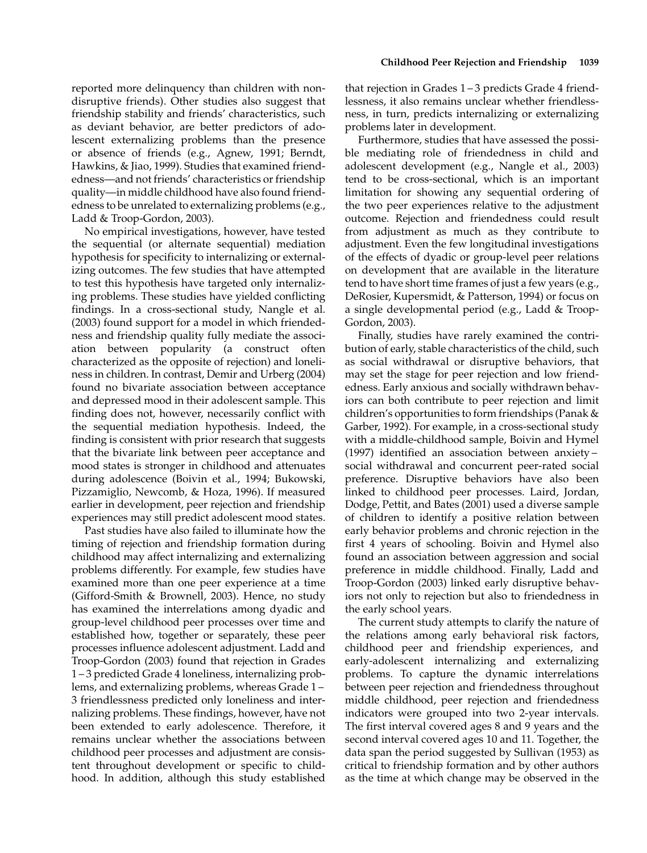reported more delinquency than children with nondisruptive friends). Other studies also suggest that friendship stability and friends' characteristics, such as deviant behavior, are better predictors of adolescent externalizing problems than the presence or absence of friends (e.g., Agnew, 1991; Berndt, Hawkins, & Jiao, 1999). Studies that examined friendedness—and not friends' characteristics or friendship quality—in middle childhood have also found friendedness to be unrelated to externalizing problems (e.g., Ladd & Troop-Gordon, 2003).

No empirical investigations, however, have tested the sequential (or alternate sequential) mediation hypothesis for specificity to internalizing or externalizing outcomes. The few studies that have attempted to test this hypothesis have targeted only internalizing problems. These studies have yielded conflicting findings. In a cross-sectional study, Nangle et al. (2003) found support for a model in which friendedness and friendship quality fully mediate the association between popularity (a construct often characterized as the opposite of rejection) and loneliness in children. In contrast, Demir and Urberg (2004) found no bivariate association between acceptance and depressed mood in their adolescent sample. This finding does not, however, necessarily conflict with the sequential mediation hypothesis. Indeed, the finding is consistent with prior research that suggests that the bivariate link between peer acceptance and mood states is stronger in childhood and attenuates during adolescence (Boivin et al., 1994; Bukowski, Pizzamiglio, Newcomb, & Hoza, 1996). If measured earlier in development, peer rejection and friendship experiences may still predict adolescent mood states.

Past studies have also failed to illuminate how the timing of rejection and friendship formation during childhood may affect internalizing and externalizing problems differently. For example, few studies have examined more than one peer experience at a time (Gifford-Smith & Brownell, 2003). Hence, no study has examined the interrelations among dyadic and group-level childhood peer processes over time and established how, together or separately, these peer processes influence adolescent adjustment. Ladd and Troop-Gordon (2003) found that rejection in Grades 1 – 3 predicted Grade 4 loneliness, internalizing problems, and externalizing problems, whereas Grade 1 – 3 friendlessness predicted only loneliness and internalizing problems. These findings, however, have not been extended to early adolescence. Therefore, it remains unclear whether the associations between childhood peer processes and adjustment are consistent throughout development or specific to childhood. In addition, although this study established that rejection in Grades 1 – 3 predicts Grade 4 friendlessness, it also remains unclear whether friendlessness, in turn, predicts internalizing or externalizing problems later in development.

Furthermore, studies that have assessed the possible mediating role of friendedness in child and adolescent development (e.g., Nangle et al., 2003) tend to be cross-sectional, which is an important limitation for showing any sequential ordering of the two peer experiences relative to the adjustment outcome. Rejection and friendedness could result from adjustment as much as they contribute to adjustment. Even the few longitudinal investigations of the effects of dyadic or group-level peer relations on development that are available in the literature tend to have short time frames of just a few years (e.g., DeRosier, Kupersmidt, & Patterson, 1994) or focus on a single developmental period (e.g., Ladd & Troop-Gordon, 2003).

Finally, studies have rarely examined the contribution of early, stable characteristics of the child, such as social withdrawal or disruptive behaviors, that may set the stage for peer rejection and low friendedness. Early anxious and socially withdrawn behaviors can both contribute to peer rejection and limit children's opportunities to form friendships (Panak & Garber, 1992). For example, in a cross-sectional study with a middle-childhood sample, Boivin and Hymel (1997) identified an association between anxiety – social withdrawal and concurrent peer-rated social preference. Disruptive behaviors have also been linked to childhood peer processes. Laird, Jordan, Dodge, Pettit, and Bates (2001) used a diverse sample of children to identify a positive relation between early behavior problems and chronic rejection in the first 4 years of schooling. Boivin and Hymel also found an association between aggression and social preference in middle childhood. Finally, Ladd and Troop-Gordon (2003) linked early disruptive behaviors not only to rejection but also to friendedness in the early school years.

The current study attempts to clarify the nature of the relations among early behavioral risk factors, childhood peer and friendship experiences, and early-adolescent internalizing and externalizing problems. To capture the dynamic interrelations between peer rejection and friendedness throughout middle childhood, peer rejection and friendedness indicators were grouped into two 2-year intervals. The first interval covered ages 8 and 9 years and the second interval covered ages 10 and 11. Together, the data span the period suggested by Sullivan (1953) as critical to friendship formation and by other authors as the time at which change may be observed in the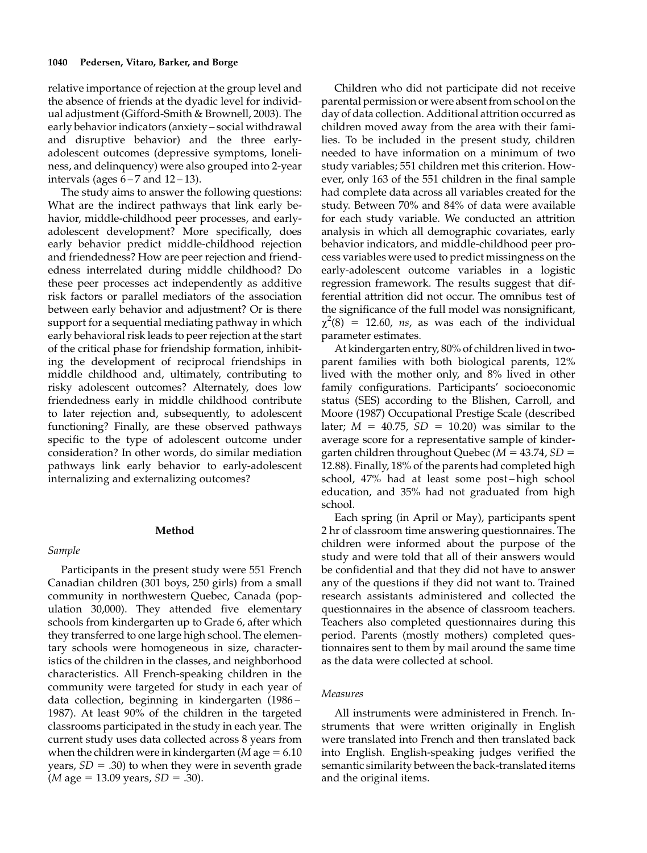relative importance of rejection at the group level and the absence of friends at the dyadic level for individual adjustment (Gifford-Smith & Brownell, 2003). The early behavior indicators (anxiety – social withdrawal and disruptive behavior) and the three earlyadolescent outcomes (depressive symptoms, loneliness, and delinquency) were also grouped into 2-year intervals (ages  $6 - 7$  and  $12 - 13$ ).

The study aims to answer the following questions: What are the indirect pathways that link early behavior, middle-childhood peer processes, and earlyadolescent development? More specifically, does early behavior predict middle-childhood rejection and friendedness? How are peer rejection and friendedness interrelated during middle childhood? Do these peer processes act independently as additive risk factors or parallel mediators of the association between early behavior and adjustment? Or is there support for a sequential mediating pathway in which early behavioral risk leads to peer rejection at the start of the critical phase for friendship formation, inhibiting the development of reciprocal friendships in middle childhood and, ultimately, contributing to risky adolescent outcomes? Alternately, does low friendedness early in middle childhood contribute to later rejection and, subsequently, to adolescent functioning? Finally, are these observed pathways specific to the type of adolescent outcome under consideration? In other words, do similar mediation pathways link early behavior to early-adolescent internalizing and externalizing outcomes?

# Method

## Sample

Participants in the present study were 551 French Canadian children (301 boys, 250 girls) from a small community in northwestern Quebec, Canada (population 30,000). They attended five elementary schools from kindergarten up to Grade 6, after which they transferred to one large high school. The elementary schools were homogeneous in size, characteristics of the children in the classes, and neighborhood characteristics. All French-speaking children in the community were targeted for study in each year of data collection, beginning in kindergarten (1986 – 1987). At least 90% of the children in the targeted classrooms participated in the study in each year. The current study uses data collected across 8 years from when the children were in kindergarten (*M* age  $= 6.10$ years,  $SD = .30$ ) to when they were in seventh grade  $(M \text{ age} = 13.09 \text{ years}, SD = .30).$ 

Children who did not participate did not receive parental permission or were absent from school on the day of data collection. Additional attrition occurred as children moved away from the area with their families. To be included in the present study, children needed to have information on a minimum of two study variables; 551 children met this criterion. However, only 163 of the 551 children in the final sample had complete data across all variables created for the study. Between 70% and 84% of data were available for each study variable. We conducted an attrition analysis in which all demographic covariates, early behavior indicators, and middle-childhood peer process variables were used to predict missingness on the early-adolescent outcome variables in a logistic regression framework. The results suggest that differential attrition did not occur. The omnibus test of the significance of the full model was nonsignificant,  $\chi^2(8)$  = 12.60, ns, as was each of the individual parameter estimates.

At kindergarten entry, 80% of children lived in twoparent families with both biological parents, 12% lived with the mother only, and 8% lived in other family configurations. Participants' socioeconomic status (SES) according to the Blishen, Carroll, and Moore (1987) Occupational Prestige Scale (described later;  $M = 40.75$ ,  $SD = 10.20$ ) was similar to the average score for a representative sample of kindergarten children throughout Quebec ( $M = 43.74$ ,  $SD =$ 12.88). Finally, 18% of the parents had completed high school, 47% had at least some post – high school education, and 35% had not graduated from high school.

Each spring (in April or May), participants spent 2 hr of classroom time answering questionnaires. The children were informed about the purpose of the study and were told that all of their answers would be confidential and that they did not have to answer any of the questions if they did not want to. Trained research assistants administered and collected the questionnaires in the absence of classroom teachers. Teachers also completed questionnaires during this period. Parents (mostly mothers) completed questionnaires sent to them by mail around the same time as the data were collected at school.

# Measures

All instruments were administered in French. Instruments that were written originally in English were translated into French and then translated back into English. English-speaking judges verified the semantic similarity between the back-translated items and the original items.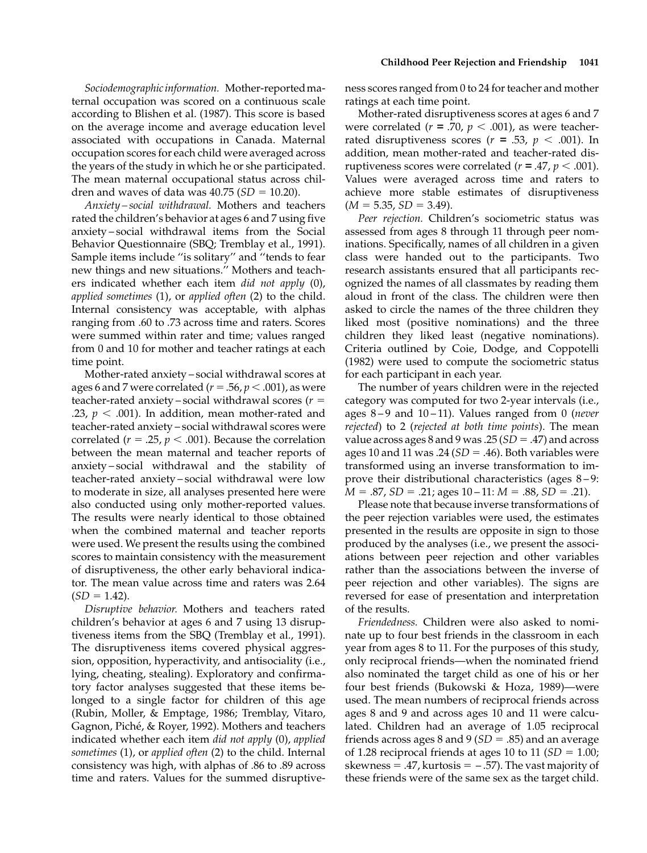Sociodemographicinformation. Mother-reportedmaternal occupation was scored on a continuous scale according to Blishen et al. (1987). This score is based on the average income and average education level associated with occupations in Canada. Maternal occupation scores for each child were averaged across the years of the study in which he or she participated. The mean maternal occupational status across children and waves of data was  $40.75$  ( $SD = 10.20$ ).

Anxiety – social withdrawal. Mothers and teachers rated the children's behavior at ages 6 and 7 using five anxiety – social withdrawal items from the Social Behavior Questionnaire (SBQ; Tremblay et al., 1991). Sample items include ''is solitary'' and ''tends to fear new things and new situations.'' Mothers and teachers indicated whether each item did not apply (0), applied sometimes (1), or applied often (2) to the child. Internal consistency was acceptable, with alphas ranging from .60 to .73 across time and raters. Scores were summed within rater and time; values ranged from 0 and 10 for mother and teacher ratings at each time point.

Mother-rated anxiety – social withdrawal scores at ages 6 and 7 were correlated ( $r = .56$ ,  $p < .001$ ), as were teacher-rated anxiety – social withdrawal scores ( $r =$ .23,  $p < .001$ ). In addition, mean mother-rated and teacher-rated anxiety – social withdrawal scores were correlated ( $r = .25$ ,  $p < .001$ ). Because the correlation between the mean maternal and teacher reports of anxiety – social withdrawal and the stability of teacher-rated anxiety – social withdrawal were low to moderate in size, all analyses presented here were also conducted using only mother-reported values. The results were nearly identical to those obtained when the combined maternal and teacher reports were used. We present the results using the combined scores to maintain consistency with the measurement of disruptiveness, the other early behavioral indicator. The mean value across time and raters was 2.64  $(SD = 1.42)$ .

Disruptive behavior. Mothers and teachers rated children's behavior at ages 6 and 7 using 13 disruptiveness items from the SBQ (Tremblay et al., 1991). The disruptiveness items covered physical aggression, opposition, hyperactivity, and antisociality (i.e., lying, cheating, stealing). Exploratory and confirmatory factor analyses suggested that these items belonged to a single factor for children of this age (Rubin, Moller, & Emptage, 1986; Tremblay, Vitaro, Gagnon, Piché, & Royer, 1992). Mothers and teachers indicated whether each item did not apply (0), applied sometimes (1), or applied often (2) to the child. Internal consistency was high, with alphas of .86 to .89 across time and raters. Values for the summed disruptiveness scores ranged from 0 to 24 for teacher and mother ratings at each time point.

Mother-rated disruptiveness scores at ages 6 and 7 were correlated ( $r = .70$ ,  $p < .001$ ), as were teacherrated disruptiveness scores ( $r = .53$ ,  $p < .001$ ). In addition, mean mother-rated and teacher-rated disruptiveness scores were correlated ( $r = .47$ ,  $p < .001$ ). Values were averaged across time and raters to achieve more stable estimates of disruptiveness  $(M = 5.35, SD = 3.49).$ 

Peer rejection. Children's sociometric status was assessed from ages 8 through 11 through peer nominations. Specifically, names of all children in a given class were handed out to the participants. Two research assistants ensured that all participants recognized the names of all classmates by reading them aloud in front of the class. The children were then asked to circle the names of the three children they liked most (positive nominations) and the three children they liked least (negative nominations). Criteria outlined by Coie, Dodge, and Coppotelli (1982) were used to compute the sociometric status for each participant in each year.

The number of years children were in the rejected category was computed for two 2-year intervals (i.e., ages  $8-9$  and  $10-11$ ). Values ranged from 0 (never rejected) to 2 (rejected at both time points). The mean value across ages 8 and 9 was .25  $SD = .47$ ) and across ages 10 and 11 was .24 ( $SD = .46$ ). Both variables were transformed using an inverse transformation to improve their distributional characteristics (ages 8 – 9:  $M = .87$ ,  $SD = .21$ ; ages  $10 - 11$ :  $M = .88$ ,  $SD = .21$ ).

Please note that because inverse transformations of the peer rejection variables were used, the estimates presented in the results are opposite in sign to those produced by the analyses (i.e., we present the associations between peer rejection and other variables rather than the associations between the inverse of peer rejection and other variables). The signs are reversed for ease of presentation and interpretation of the results.

Friendedness. Children were also asked to nominate up to four best friends in the classroom in each year from ages 8 to 11. For the purposes of this study, only reciprocal friends—when the nominated friend also nominated the target child as one of his or her four best friends (Bukowski & Hoza, 1989)—were used. The mean numbers of reciprocal friends across ages 8 and 9 and across ages 10 and 11 were calculated. Children had an average of 1.05 reciprocal friends across ages 8 and 9 ( $SD = .85$ ) and an average of 1.28 reciprocal friends at ages 10 to 11 ( $SD = 1.00$ ; skewness = .47, kurtosis =  $-$ .57). The vast majority of these friends were of the same sex as the target child.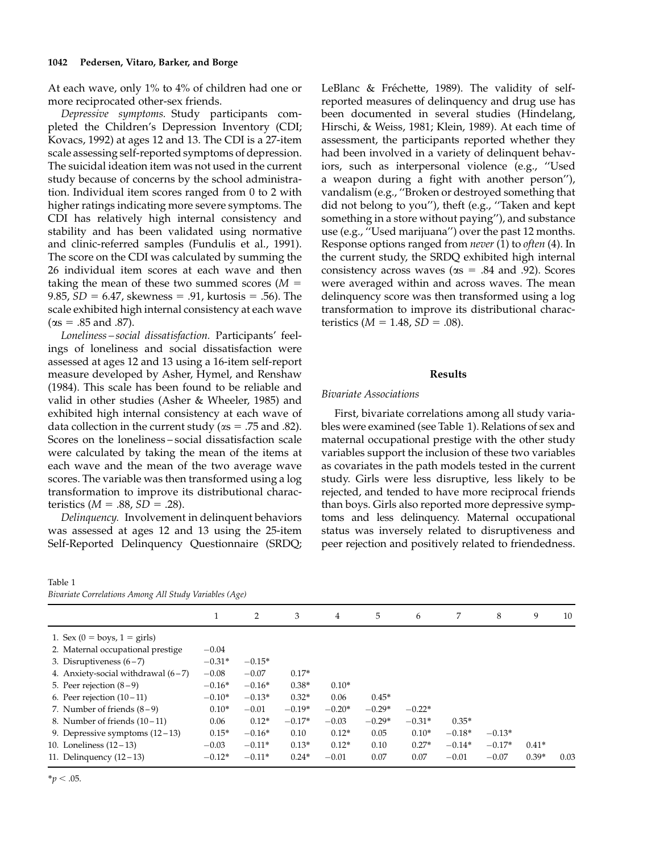# 1042 Pedersen, Vitaro, Barker, and Borge

At each wave, only 1% to 4% of children had one or more reciprocated other-sex friends.

Depressive symptoms. Study participants completed the Children's Depression Inventory (CDI; Kovacs, 1992) at ages 12 and 13. The CDI is a 27-item scale assessing self-reported symptoms of depression. The suicidal ideation item was not used in the current study because of concerns by the school administration. Individual item scores ranged from 0 to 2 with higher ratings indicating more severe symptoms. The CDI has relatively high internal consistency and stability and has been validated using normative and clinic-referred samples (Fundulis et al., 1991). The score on the CDI was calculated by summing the 26 individual item scores at each wave and then taking the mean of these two summed scores  $(M =$ 9.85,  $SD = 6.47$ , skewness = .91, kurtosis = .56). The scale exhibited high internal consistency at each wave  $(\alpha s = .85 \text{ and } .87).$ 

Loneliness – social dissatisfaction. Participants' feelings of loneliness and social dissatisfaction were assessed at ages 12 and 13 using a 16-item self-report measure developed by Asher, Hymel, and Renshaw (1984). This scale has been found to be reliable and valid in other studies (Asher & Wheeler, 1985) and exhibited high internal consistency at each wave of data collection in the current study ( $\alpha s = .75$  and .82). Scores on the loneliness – social dissatisfaction scale were calculated by taking the mean of the items at each wave and the mean of the two average wave scores. The variable was then transformed using a log transformation to improve its distributional characteristics ( $M = .88$ ,  $SD = .28$ ).

Delinquency. Involvement in delinquent behaviors was assessed at ages 12 and 13 using the 25-item Self-Reported Delinquency Questionnaire (SRDQ;

#### Table 1

|  | Bivariate Correlations Among All Study Variables (Age) |  |  |  |  |
|--|--------------------------------------------------------|--|--|--|--|
|--|--------------------------------------------------------|--|--|--|--|

LeBlanc & Fréchette, 1989). The validity of selfreported measures of delinquency and drug use has been documented in several studies (Hindelang, Hirschi, & Weiss, 1981; Klein, 1989). At each time of assessment, the participants reported whether they had been involved in a variety of delinquent behaviors, such as interpersonal violence (e.g., ''Used a weapon during a fight with another person''), vandalism (e.g., ''Broken or destroyed something that did not belong to you''), theft (e.g., ''Taken and kept something in a store without paying''), and substance use (e.g., ''Used marijuana'') over the past 12 months. Response options ranged from never (1) to often (4). In the current study, the SRDQ exhibited high internal consistency across waves ( $\alpha s = .84$  and .92). Scores were averaged within and across waves. The mean delinquency score was then transformed using a log transformation to improve its distributional characteristics  $(M = 1.48, SD = .08)$ .

#### Results

## Bivariate Associations

First, bivariate correlations among all study variables were examined (see Table 1). Relations of sex and maternal occupational prestige with the other study variables support the inclusion of these two variables as covariates in the path models tested in the current study. Girls were less disruptive, less likely to be rejected, and tended to have more reciprocal friends than boys. Girls also reported more depressive symptoms and less delinquency. Maternal occupational status was inversely related to disruptiveness and peer rejection and positively related to friendedness.

| Divariate Correlations zintong zili staag variables (zige) |  |          |          |          |          |          |          |          |          |         |      |
|------------------------------------------------------------|--|----------|----------|----------|----------|----------|----------|----------|----------|---------|------|
|                                                            |  |          | 2        | 3        | 4        | 5        | 6        | 7        | 8        | 9       | 10   |
| 1. Sex $(0 = boys, 1 = girls)$                             |  |          |          |          |          |          |          |          |          |         |      |
| 2. Maternal occupational prestige                          |  | $-0.04$  |          |          |          |          |          |          |          |         |      |
| 3. Disruptiveness $(6-7)$                                  |  | $-0.31*$ | $-0.15*$ |          |          |          |          |          |          |         |      |
| 4. Anxiety-social withdrawal $(6-7)$                       |  | $-0.08$  | $-0.07$  | $0.17*$  |          |          |          |          |          |         |      |
| 5. Peer rejection $(8-9)$                                  |  | $-0.16*$ | $-0.16*$ | $0.38*$  | $0.10*$  |          |          |          |          |         |      |
| 6. Peer rejection $(10-11)$                                |  | $-0.10*$ | $-0.13*$ | $0.32*$  | 0.06     | $0.45*$  |          |          |          |         |      |
| 7. Number of friends $(8-9)$                               |  | $0.10*$  | $-0.01$  | $-0.19*$ | $-0.20*$ | $-0.29*$ | $-0.22*$ |          |          |         |      |
| 8. Number of friends $(10-11)$                             |  | 0.06     | $0.12*$  | $-0.17*$ | $-0.03$  | $-0.29*$ | $-0.31*$ | $0.35*$  |          |         |      |
| 9. Depressive symptoms $(12-13)$                           |  | $0.15*$  | $-0.16*$ | 0.10     | $0.12*$  | 0.05     | $0.10*$  | $-0.18*$ | $-0.13*$ |         |      |
| 10. Loneliness $(12-13)$                                   |  | $-0.03$  | $-0.11*$ | $0.13*$  | $0.12*$  | 0.10     | $0.27*$  | $-0.14*$ | $-0.17*$ | $0.41*$ |      |
| 11. Delinquency $(12-13)$                                  |  | $-0.12*$ | $-0.11*$ | $0.24*$  | $-0.01$  | 0.07     | 0.07     | $-0.01$  | $-0.07$  | $0.39*$ | 0.03 |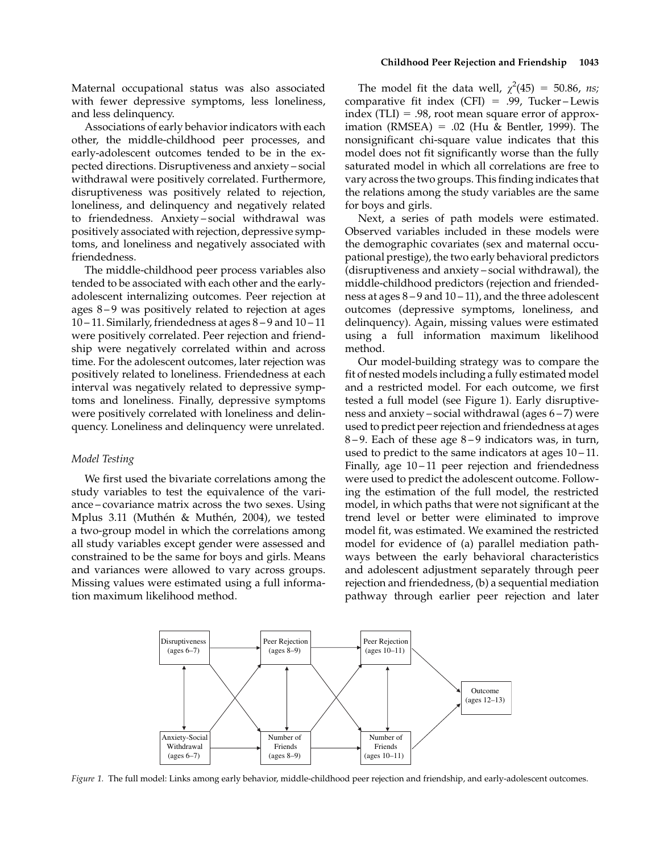Maternal occupational status was also associated with fewer depressive symptoms, less loneliness, and less delinquency.

Associations of early behavior indicators with each other, the middle-childhood peer processes, and early-adolescent outcomes tended to be in the expected directions. Disruptiveness and anxiety – social withdrawal were positively correlated. Furthermore, disruptiveness was positively related to rejection, loneliness, and delinquency and negatively related to friendedness. Anxiety – social withdrawal was positively associated with rejection, depressive symptoms, and loneliness and negatively associated with friendedness.

The middle-childhood peer process variables also tended to be associated with each other and the earlyadolescent internalizing outcomes. Peer rejection at ages 8 – 9 was positively related to rejection at ages 10 – 11. Similarly, friendedness at ages 8 – 9 and 10 – 11 were positively correlated. Peer rejection and friendship were negatively correlated within and across time. For the adolescent outcomes, later rejection was positively related to loneliness. Friendedness at each interval was negatively related to depressive symptoms and loneliness. Finally, depressive symptoms were positively correlated with loneliness and delinquency. Loneliness and delinquency were unrelated.

#### Model Testing

We first used the bivariate correlations among the study variables to test the equivalence of the variance – covariance matrix across the two sexes. Using Mplus 3.11 (Muthén & Muthén, 2004), we tested a two-group model in which the correlations among all study variables except gender were assessed and constrained to be the same for boys and girls. Means and variances were allowed to vary across groups. Missing values were estimated using a full information maximum likelihood method.

## Childhood Peer Rejection and Friendship 1043

The model fit the data well,  $\chi^2(45) = 50.86$ , ns; comparative fit index (CFI) = .99, Tucker-Lewis index (TLI) =  $.98$ , root mean square error of approximation (RMSEA) = .02 (Hu & Bentler, 1999). The nonsignificant chi-square value indicates that this model does not fit significantly worse than the fully saturated model in which all correlations are free to vary across the two groups. This finding indicates that the relations among the study variables are the same for boys and girls.

Next, a series of path models were estimated. Observed variables included in these models were the demographic covariates (sex and maternal occupational prestige), the two early behavioral predictors (disruptiveness and anxiety – social withdrawal), the middle-childhood predictors (rejection and friendedness at ages 8 – 9 and 10 – 11), and the three adolescent outcomes (depressive symptoms, loneliness, and delinquency). Again, missing values were estimated using a full information maximum likelihood method.

Our model-building strategy was to compare the fit of nested models including a fully estimated model and a restricted model. For each outcome, we first tested a full model (see Figure 1). Early disruptiveness and anxiety – social withdrawal (ages 6 – 7) were used to predict peer rejection and friendedness at ages 8 – 9. Each of these age 8 – 9 indicators was, in turn, used to predict to the same indicators at ages 10 – 11. Finally, age  $10-11$  peer rejection and friendedness were used to predict the adolescent outcome. Following the estimation of the full model, the restricted model, in which paths that were not significant at the trend level or better were eliminated to improve model fit, was estimated. We examined the restricted model for evidence of (a) parallel mediation pathways between the early behavioral characteristics and adolescent adjustment separately through peer rejection and friendedness, (b) a sequential mediation pathway through earlier peer rejection and later



Figure 1. The full model: Links among early behavior, middle-childhood peer rejection and friendship, and early-adolescent outcomes.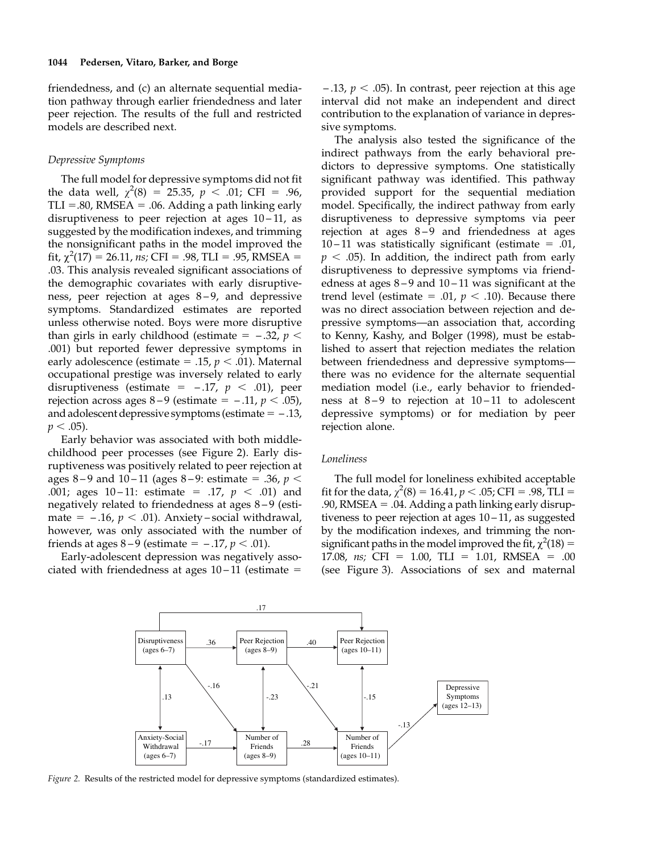friendedness, and (c) an alternate sequential mediation pathway through earlier friendedness and later peer rejection. The results of the full and restricted models are described next.

### Depressive Symptoms

The full model for depressive symptoms did not fit the data well,  $\chi^2(8) = 25.35$ ,  $p < .01$ ; CFI = .96,  $TLI = .80$ , RMSEA = .06. Adding a path linking early disruptiveness to peer rejection at ages  $10-11$ , as suggested by the modification indexes, and trimming the nonsignificant paths in the model improved the fit,  $\chi^2(17) = 26.11$ , ns; CFI = .98, TLI = .95, RMSEA = .03. This analysis revealed significant associations of the demographic covariates with early disruptiveness, peer rejection at ages 8–9, and depressive symptoms. Standardized estimates are reported unless otherwise noted. Boys were more disruptive than girls in early childhood (estimate  $=$  -.32,  $p$   $<$ .001) but reported fewer depressive symptoms in early adolescence (estimate = .15,  $p < .01$ ). Maternal occupational prestige was inversely related to early disruptiveness (estimate =  $-.17$ ,  $p < .01$ ), peer rejection across ages  $8-9$  (estimate =  $-.11$ ,  $p < .05$ ), and adolescent depressive symptoms (estimate  $= -0.13$ ,  $p < .05$ ).

Early behavior was associated with both middlechildhood peer processes (see Figure 2). Early disruptiveness was positively related to peer rejection at ages 8–9 and 10–11 (ages 8–9: estimate = .36,  $p <$ .001; ages 10-11: estimate = .17,  $p < .01$ ) and negatively related to friendedness at ages  $8-9$  (estimate =  $-.16$ ,  $p < .01$ ). Anxiety – social withdrawal, however, was only associated with the number of friends at ages  $8-9$  (estimate =  $-.17, p < .01$ ).

Early-adolescent depression was negatively associated with friendedness at ages  $10-11$  (estimate  $=$ 

 $-$ .13,  $p <$  .05). In contrast, peer rejection at this age interval did not make an independent and direct contribution to the explanation of variance in depressive symptoms.

The analysis also tested the significance of the indirect pathways from the early behavioral predictors to depressive symptoms. One statistically significant pathway was identified. This pathway provided support for the sequential mediation model. Specifically, the indirect pathway from early disruptiveness to depressive symptoms via peer rejection at ages 8-9 and friendedness at ages 10 – 11 was statistically significant (estimate  $= .01$ ,  $p < .05$ ). In addition, the indirect path from early disruptiveness to depressive symptoms via friendedness at ages  $8-9$  and  $10-11$  was significant at the trend level (estimate = .01,  $p < .10$ ). Because there was no direct association between rejection and depressive symptoms—an association that, according to Kenny, Kashy, and Bolger (1998), must be established to assert that rejection mediates the relation between friendedness and depressive symptoms there was no evidence for the alternate sequential mediation model (i.e., early behavior to friendedness at  $8-9$  to rejection at  $10-11$  to adolescent depressive symptoms) or for mediation by peer rejection alone.

#### Loneliness

The full model for loneliness exhibited acceptable fit for the data,  $\chi^2(8) = 16.41$ ,  $p < .05$ ; CFI = .98, TLI = .90, RMSEA  $= .04$ . Adding a path linking early disruptiveness to peer rejection at ages 10 – 11, as suggested by the modification indexes, and trimming the nonsignificant paths in the model improved the fit,  $\chi^2(18)$  = 17.08, ns; CFI = 1.00, TLI = 1.01, RMSEA = .00 (see Figure 3). Associations of sex and maternal



Figure 2. Results of the restricted model for depressive symptoms (standardized estimates).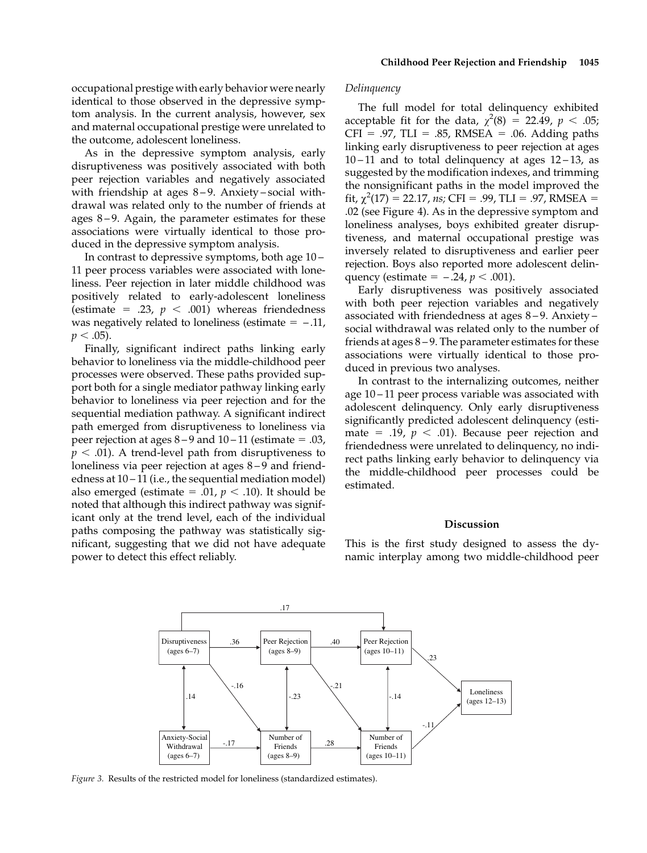occupational prestige with early behavior were nearly identical to those observed in the depressive symptom analysis. In the current analysis, however, sex and maternal occupational prestige were unrelated to the outcome, adolescent loneliness.

As in the depressive symptom analysis, early disruptiveness was positively associated with both peer rejection variables and negatively associated with friendship at ages  $8-9$ . Anxiety-social withdrawal was related only to the number of friends at ages  $8-9$ . Again, the parameter estimates for these associations were virtually identical to those produced in the depressive symptom analysis.

In contrast to depressive symptoms, both age 10 – 11 peer process variables were associated with loneliness. Peer rejection in later middle childhood was positively related to early-adolescent loneliness (estimate = .23,  $p < .001$ ) whereas friendedness was negatively related to loneliness (estimate  $=$  -.11,  $p < .05$ ).

Finally, significant indirect paths linking early behavior to loneliness via the middle-childhood peer processes were observed. These paths provided support both for a single mediator pathway linking early behavior to loneliness via peer rejection and for the sequential mediation pathway. A significant indirect path emerged from disruptiveness to loneliness via peer rejection at ages  $8-9$  and  $10-11$  (estimate = .03,  $p < .01$ ). A trend-level path from disruptiveness to loneliness via peer rejection at ages 8–9 and friendedness at 10 – 11 (i.e., the sequential mediation model) also emerged (estimate = .01,  $p < .10$ ). It should be noted that although this indirect pathway was significant only at the trend level, each of the individual paths composing the pathway was statistically significant, suggesting that we did not have adequate power to detect this effect reliably.

#### Delinquency

The full model for total delinquency exhibited acceptable fit for the data,  $\chi^2(8) = 22.49$ ,  $p < .05$ ;  $CFI = .97$ , TLI = .85, RMSEA = .06. Adding paths linking early disruptiveness to peer rejection at ages  $10 - 11$  and to total delinquency at ages  $12 - 13$ , as suggested by the modification indexes, and trimming the nonsignificant paths in the model improved the fit,  $\chi^2(17) = 22.17$ , ns; CFI = .99, TLI = .97, RMSEA = .02 (see Figure 4). As in the depressive symptom and loneliness analyses, boys exhibited greater disruptiveness, and maternal occupational prestige was inversely related to disruptiveness and earlier peer rejection. Boys also reported more adolescent delinquency (estimate =  $-.24$ ,  $p < .001$ ).

Early disruptiveness was positively associated with both peer rejection variables and negatively associated with friendedness at ages 8 – 9. Anxiety – social withdrawal was related only to the number of friends at ages 8 – 9. The parameter estimates for these associations were virtually identical to those produced in previous two analyses.

In contrast to the internalizing outcomes, neither age 10 – 11 peer process variable was associated with adolescent delinquency. Only early disruptiveness significantly predicted adolescent delinquency (estimate = .19,  $p < .01$ ). Because peer rejection and friendedness were unrelated to delinquency, no indirect paths linking early behavior to delinquency via the middle-childhood peer processes could be estimated.

#### **Discussion**

This is the first study designed to assess the dynamic interplay among two middle-childhood peer



Figure 3. Results of the restricted model for loneliness (standardized estimates).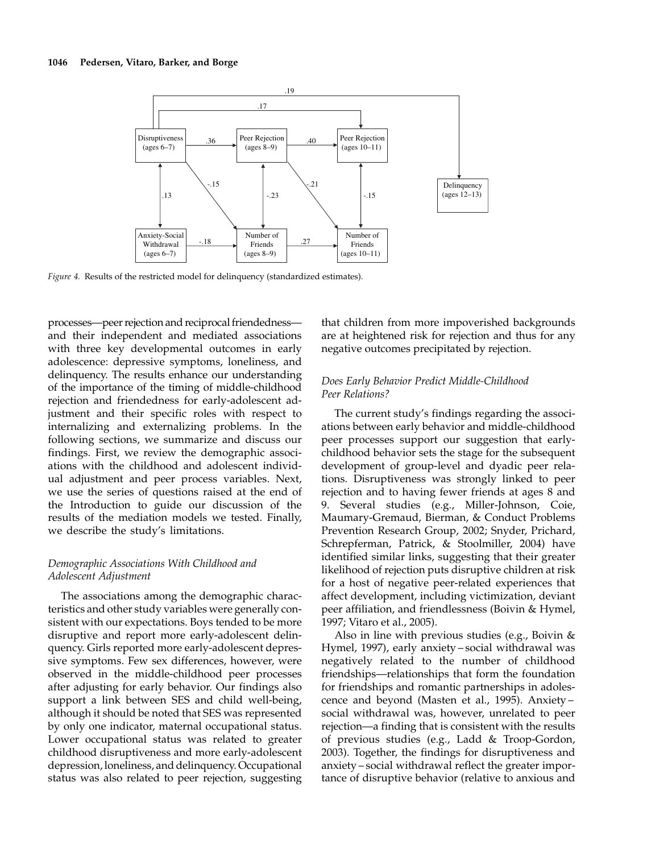

Figure 4. Results of the restricted model for delinquency (standardized estimates).

processes—peer rejection and reciprocal friendedness and their independent and mediated associations with three key developmental outcomes in early adolescence: depressive symptoms, loneliness, and delinquency. The results enhance our understanding of the importance of the timing of middle-childhood rejection and friendedness for early-adolescent adjustment and their specific roles with respect to internalizing and externalizing problems. In the following sections, we summarize and discuss our findings. First, we review the demographic associations with the childhood and adolescent individual adjustment and peer process variables. Next, we use the series of questions raised at the end of the Introduction to guide our discussion of the results of the mediation models we tested. Finally, we describe the study's limitations.

# Demographic Associations With Childhood and Adolescent Adjustment

The associations among the demographic characteristics and other study variables were generally consistent with our expectations. Boys tended to be more disruptive and report more early-adolescent delinquency. Girls reported more early-adolescent depressive symptoms. Few sex differences, however, were observed in the middle-childhood peer processes after adjusting for early behavior. Our findings also support a link between SES and child well-being, although it should be noted that SES was represented by only one indicator, maternal occupational status. Lower occupational status was related to greater childhood disruptiveness and more early-adolescent depression, loneliness, and delinquency. Occupational status was also related to peer rejection, suggesting

that children from more impoverished backgrounds are at heightened risk for rejection and thus for any negative outcomes precipitated by rejection.

# Does Early Behavior Predict Middle-Childhood Peer Relations?

The current study's findings regarding the associations between early behavior and middle-childhood peer processes support our suggestion that earlychildhood behavior sets the stage for the subsequent development of group-level and dyadic peer relations. Disruptiveness was strongly linked to peer rejection and to having fewer friends at ages 8 and 9. Several studies (e.g., Miller-Johnson, Coie, Maumary-Gremaud, Bierman, & Conduct Problems Prevention Research Group, 2002; Snyder, Prichard, Schrepferman, Patrick, & Stoolmiller, 2004) have identified similar links, suggesting that their greater likelihood of rejection puts disruptive children at risk for a host of negative peer-related experiences that affect development, including victimization, deviant peer affiliation, and friendlessness (Boivin & Hymel, 1997; Vitaro et al., 2005).

Also in line with previous studies (e.g., Boivin & Hymel, 1997), early anxiety – social withdrawal was negatively related to the number of childhood friendships—relationships that form the foundation for friendships and romantic partnerships in adolescence and beyond (Masten et al., 1995). Anxiety – social withdrawal was, however, unrelated to peer rejection—a finding that is consistent with the results of previous studies (e.g., Ladd & Troop-Gordon, 2003). Together, the findings for disruptiveness and anxiety – social withdrawal reflect the greater importance of disruptive behavior (relative to anxious and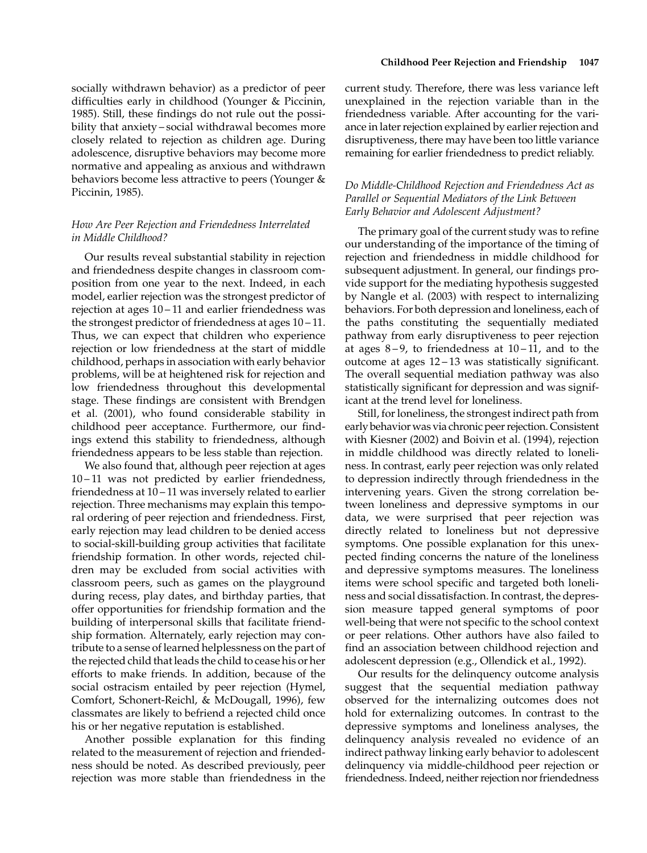socially withdrawn behavior) as a predictor of peer difficulties early in childhood (Younger & Piccinin, 1985). Still, these findings do not rule out the possibility that anxiety – social withdrawal becomes more closely related to rejection as children age. During adolescence, disruptive behaviors may become more normative and appealing as anxious and withdrawn behaviors become less attractive to peers (Younger & Piccinin, 1985).

# How Are Peer Rejection and Friendedness Interrelated in Middle Childhood?

Our results reveal substantial stability in rejection and friendedness despite changes in classroom composition from one year to the next. Indeed, in each model, earlier rejection was the strongest predictor of rejection at ages 10 – 11 and earlier friendedness was the strongest predictor of friendedness at ages 10 – 11. Thus, we can expect that children who experience rejection or low friendedness at the start of middle childhood, perhaps in association with early behavior problems, will be at heightened risk for rejection and low friendedness throughout this developmental stage. These findings are consistent with Brendgen et al. (2001), who found considerable stability in childhood peer acceptance. Furthermore, our findings extend this stability to friendedness, although friendedness appears to be less stable than rejection.

We also found that, although peer rejection at ages 10 – 11 was not predicted by earlier friendedness, friendedness at 10 – 11 was inversely related to earlier rejection. Three mechanisms may explain this temporal ordering of peer rejection and friendedness. First, early rejection may lead children to be denied access to social-skill-building group activities that facilitate friendship formation. In other words, rejected children may be excluded from social activities with classroom peers, such as games on the playground during recess, play dates, and birthday parties, that offer opportunities for friendship formation and the building of interpersonal skills that facilitate friendship formation. Alternately, early rejection may contribute to a sense of learned helplessness on the part of the rejected child that leads the child to cease his or her efforts to make friends. In addition, because of the social ostracism entailed by peer rejection (Hymel, Comfort, Schonert-Reichl, & McDougall, 1996), few classmates are likely to befriend a rejected child once his or her negative reputation is established.

Another possible explanation for this finding related to the measurement of rejection and friendedness should be noted. As described previously, peer rejection was more stable than friendedness in the current study. Therefore, there was less variance left unexplained in the rejection variable than in the friendedness variable. After accounting for the variance in later rejection explained by earlier rejection and disruptiveness, there may have been too little variance remaining for earlier friendedness to predict reliably.

# Do Middle-Childhood Rejection and Friendedness Act as Parallel or Sequential Mediators of the Link Between Early Behavior and Adolescent Adjustment?

The primary goal of the current study was to refine our understanding of the importance of the timing of rejection and friendedness in middle childhood for subsequent adjustment. In general, our findings provide support for the mediating hypothesis suggested by Nangle et al. (2003) with respect to internalizing behaviors. For both depression and loneliness, each of the paths constituting the sequentially mediated pathway from early disruptiveness to peer rejection at ages  $8-9$ , to friendedness at  $10-11$ , and to the outcome at ages 12 – 13 was statistically significant. The overall sequential mediation pathway was also statistically significant for depression and was significant at the trend level for loneliness.

Still, for loneliness, the strongest indirect path from early behavior was via chronic peer rejection. Consistent with Kiesner (2002) and Boivin et al. (1994), rejection in middle childhood was directly related to loneliness. In contrast, early peer rejection was only related to depression indirectly through friendedness in the intervening years. Given the strong correlation between loneliness and depressive symptoms in our data, we were surprised that peer rejection was directly related to loneliness but not depressive symptoms. One possible explanation for this unexpected finding concerns the nature of the loneliness and depressive symptoms measures. The loneliness items were school specific and targeted both loneliness and social dissatisfaction. In contrast, the depression measure tapped general symptoms of poor well-being that were not specific to the school context or peer relations. Other authors have also failed to find an association between childhood rejection and adolescent depression (e.g., Ollendick et al., 1992).

Our results for the delinquency outcome analysis suggest that the sequential mediation pathway observed for the internalizing outcomes does not hold for externalizing outcomes. In contrast to the depressive symptoms and loneliness analyses, the delinquency analysis revealed no evidence of an indirect pathway linking early behavior to adolescent delinquency via middle-childhood peer rejection or friendedness. Indeed, neither rejection nor friendedness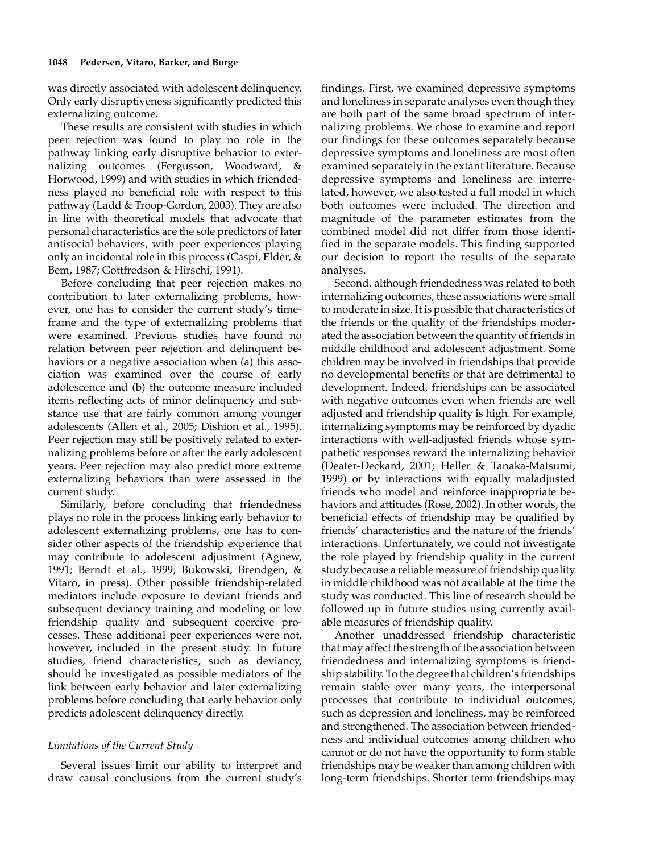was directly associated with adolescent delinquency. Only early disruptiveness significantly predicted this externalizing outcome.

These results are consistent with studies in which peer rejection was found to play no role in the pathway linking early disruptive behavior to externalizing outcomes (Fergusson, Woodward, & Horwood, 1999) and with studies in which friendedness played no beneficial role with respect to this pathway (Ladd & Troop-Gordon, 2003). They are also in line with theoretical models that advocate that personal characteristics are the sole predictors of later antisocial behaviors, with peer experiences playing only an incidental role in this process (Caspi, Elder, & Bem, 1987; Gottfredson & Hirschi, 1991).

Before concluding that peer rejection makes no contribution to later externalizing problems, however, one has to consider the current study's timeframe and the type of externalizing problems that were examined. Previous studies have found no relation between peer rejection and delinquent behaviors or a negative association when (a) this association was examined over the course of early adolescence and (b) the outcome measure included items reflecting acts of minor delinquency and substance use that are fairly common among younger adolescents (Allen et al., 2005; Dishion et al., 1995). Peer rejection may still be positively related to externalizing problems before or after the early adolescent years. Peer rejection may also predict more extreme externalizing behaviors than were assessed in the current study.

Similarly, before concluding that friendedness plays no role in the process linking early behavior to adolescent externalizing problems, one has to consider other aspects of the friendship experience that may contribute to adolescent adjustment (Agnew, 1991; Berndt et al., 1999; Bukowski, Brendgen, & Vitaro, in press). Other possible friendship-related mediators include exposure to deviant friends and subsequent deviancy training and modeling or low friendship quality and subsequent coercive processes. These additional peer experiences were not, however, included in the present study. In future studies, friend characteristics, such as deviancy, should be investigated as possible mediators of the link between early behavior and later externalizing problems before concluding that early behavior only predicts adolescent delinquency directly.

## Limitations of the Current Study

Several issues limit our ability to interpret and draw causal conclusions from the current study's findings. First, we examined depressive symptoms and loneliness in separate analyses even though they are both part of the same broad spectrum of internalizing problems. We chose to examine and report our findings for these outcomes separately because depressive symptoms and loneliness are most often examined separately in the extant literature. Because depressive symptoms and loneliness are interrelated, however, we also tested a full model in which both outcomes were included. The direction and magnitude of the parameter estimates from the combined model did not differ from those identified in the separate models. This finding supported our decision to report the results of the separate analyses.

Second, although friendedness was related to both internalizing outcomes, these associations were small to moderate in size. It is possible that characteristics of the friends or the quality of the friendships moderated the association between the quantity of friends in middle childhood and adolescent adjustment. Some children may be involved in friendships that provide no developmental benefits or that are detrimental to development. Indeed, friendships can be associated with negative outcomes even when friends are well adjusted and friendship quality is high. For example, internalizing symptoms may be reinforced by dyadic interactions with well-adjusted friends whose sympathetic responses reward the internalizing behavior (Deater-Deckard, 2001; Heller & Tanaka-Matsumi, 1999) or by interactions with equally maladjusted friends who model and reinforce inappropriate behaviors and attitudes (Rose, 2002). In other words, the beneficial effects of friendship may be qualified by friends' characteristics and the nature of the friends' interactions. Unfortunately, we could not investigate the role played by friendship quality in the current study because a reliable measure of friendship quality in middle childhood was not available at the time the study was conducted. This line of research should be followed up in future studies using currently available measures of friendship quality.

Another unaddressed friendship characteristic that may affect the strength of the association between friendedness and internalizing symptoms is friendship stability. To the degree that children's friendships remain stable over many years, the interpersonal processes that contribute to individual outcomes, such as depression and loneliness, may be reinforced and strengthened. The association between friendedness and individual outcomes among children who cannot or do not have the opportunity to form stable friendships may be weaker than among children with long-term friendships. Shorter term friendships may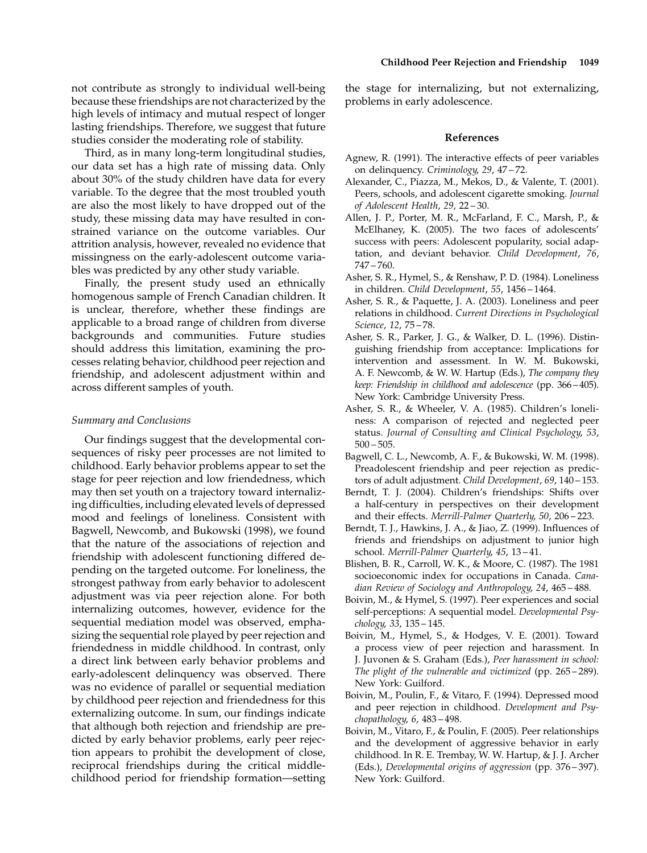Third, as in many long-term longitudinal studies, our data set has a high rate of missing data. Only about 30% of the study children have data for every variable. To the degree that the most troubled youth are also the most likely to have dropped out of the study, these missing data may have resulted in constrained variance on the outcome variables. Our attrition analysis, however, revealed no evidence that missingness on the early-adolescent outcome variables was predicted by any other study variable.

Finally, the present study used an ethnically homogenous sample of French Canadian children. It is unclear, therefore, whether these findings are applicable to a broad range of children from diverse backgrounds and communities. Future studies should address this limitation, examining the processes relating behavior, childhood peer rejection and friendship, and adolescent adjustment within and across different samples of youth.

# Summary and Conclusions

Our findings suggest that the developmental consequences of risky peer processes are not limited to childhood. Early behavior problems appear to set the stage for peer rejection and low friendedness, which may then set youth on a trajectory toward internalizing difficulties, including elevated levels of depressed mood and feelings of loneliness. Consistent with Bagwell, Newcomb, and Bukowski (1998), we found that the nature of the associations of rejection and friendship with adolescent functioning differed depending on the targeted outcome. For loneliness, the strongest pathway from early behavior to adolescent adjustment was via peer rejection alone. For both internalizing outcomes, however, evidence for the sequential mediation model was observed, emphasizing the sequential role played by peer rejection and friendedness in middle childhood. In contrast, only a direct link between early behavior problems and early-adolescent delinquency was observed. There was no evidence of parallel or sequential mediation by childhood peer rejection and friendedness for this externalizing outcome. In sum, our findings indicate that although both rejection and friendship are predicted by early behavior problems, early peer rejection appears to prohibit the development of close, reciprocal friendships during the critical middlechildhood period for friendship formation—setting

the stage for internalizing, but not externalizing, problems in early adolescence.

## References

- Agnew, R. (1991). The interactive effects of peer variables on delinquency. Criminology, 29, 47 – 72.
- Alexander, C., Piazza, M., Mekos, D., & Valente, T. (2001). Peers, schools, and adolescent cigarette smoking. Journal of Adolescent Health, 29, 22 – 30.
- Allen, J. P., Porter, M. R., McFarland, F. C., Marsh, P., & McElhaney, K. (2005). The two faces of adolescents' success with peers: Adolescent popularity, social adaptation, and deviant behavior. Child Development, 76, 747 – 760.
- Asher, S. R., Hymel, S., & Renshaw, P. D. (1984). Loneliness in children. Child Development, 55, 1456 – 1464.
- Asher, S. R., & Paquette, J. A. (2003). Loneliness and peer relations in childhood. Current Directions in Psychological Science, 12, 75 – 78.
- Asher, S. R., Parker, J. G., & Walker, D. L. (1996). Distinguishing friendship from acceptance: Implications for intervention and assessment. In W. M. Bukowski, A. F. Newcomb, & W. W. Hartup (Eds.), The company they keep: Friendship in childhood and adolescence (pp. 366 – 405). New York: Cambridge University Press.
- Asher, S. R., & Wheeler, V. A. (1985). Children's loneliness: A comparison of rejected and neglected peer status. Journal of Consulting and Clinical Psychology, 53,  $500 - 505.$
- Bagwell, C. L., Newcomb, A. F., & Bukowski, W. M. (1998). Preadolescent friendship and peer rejection as predictors of adult adjustment. Child Development, 69, 140-153.
- Berndt, T. J. (2004). Children's friendships: Shifts over a half-century in perspectives on their development and their effects. Merrill-Palmer Quarterly, 50, 206 – 223.
- Berndt, T. J., Hawkins, J. A., & Jiao, Z. (1999). Influences of friends and friendships on adjustment to junior high school. Merrill-Palmer Quarterly, 45, 13 – 41.
- Blishen, B. R., Carroll, W. K., & Moore, C. (1987). The 1981 socioeconomic index for occupations in Canada. Canadian Review of Sociology and Anthropology, 24, 465 – 488.
- Boivin, M., & Hymel, S. (1997). Peer experiences and social self-perceptions: A sequential model. Developmental Psychology, 33, 135 – 145.
- Boivin, M., Hymel, S., & Hodges, V. E. (2001). Toward a process view of peer rejection and harassment. In J. Juvonen & S. Graham (Eds.), Peer harassment in school: The plight of the vulnerable and victimized (pp. 265 – 289). New York: Guilford.
- Boivin, M., Poulin, F., & Vitaro, F. (1994). Depressed mood and peer rejection in childhood. Development and Psychopathology, 6, 483 – 498.
- Boivin, M., Vitaro, F., & Poulin, F. (2005). Peer relationships and the development of aggressive behavior in early childhood. In R. E. Trembay, W. W. Hartup, & J. J. Archer (Eds.), Developmental origins of aggression (pp. 376 – 397). New York: Guilford.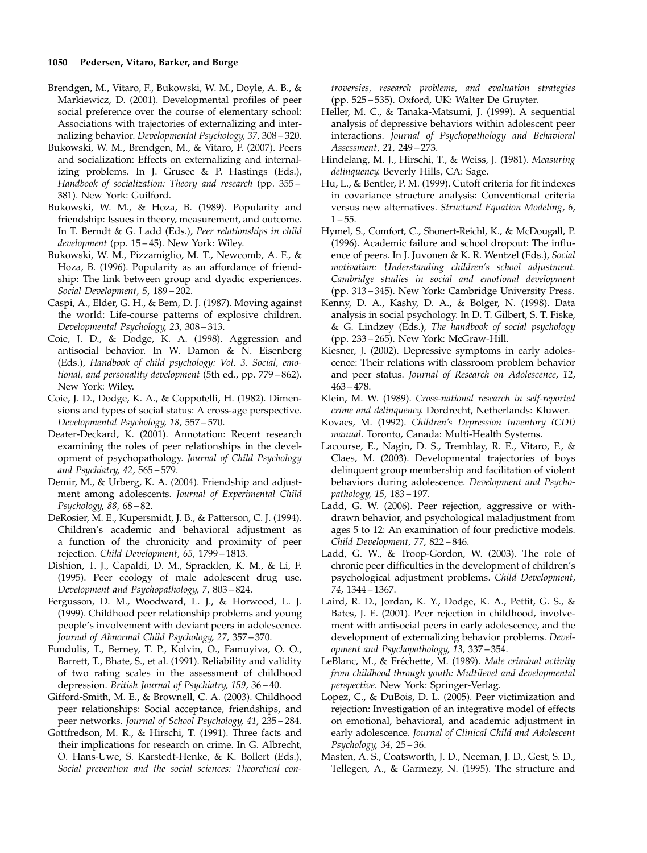#### 1050 Pedersen, Vitaro, Barker, and Borge

- Brendgen, M., Vitaro, F., Bukowski, W. M., Doyle, A. B., & Markiewicz, D. (2001). Developmental profiles of peer social preference over the course of elementary school: Associations with trajectories of externalizing and internalizing behavior. Developmental Psychology, 37, 308 – 320.
- Bukowski, W. M., Brendgen, M., & Vitaro, F. (2007). Peers and socialization: Effects on externalizing and internalizing problems. In J. Grusec & P. Hastings (Eds.), Handbook of socialization: Theory and research (pp. 355 – 381). New York: Guilford.
- Bukowski, W. M., & Hoza, B. (1989). Popularity and friendship: Issues in theory, measurement, and outcome. In T. Berndt & G. Ladd (Eds.), Peer relationships in child development (pp. 15-45). New York: Wiley.
- Bukowski, W. M., Pizzamiglio, M. T., Newcomb, A. F., & Hoza, B. (1996). Popularity as an affordance of friendship: The link between group and dyadic experiences. Social Development, 5, 189 – 202.
- Caspi, A., Elder, G. H., & Bem, D. J. (1987). Moving against the world: Life-course patterns of explosive children. Developmental Psychology, 23, 308 – 313.
- Coie, J. D., & Dodge, K. A. (1998). Aggression and antisocial behavior. In W. Damon & N. Eisenberg (Eds.), Handbook of child psychology: Vol. 3. Social, emotional, and personality development (5th ed., pp. 779 – 862). New York: Wiley.
- Coie, J. D., Dodge, K. A., & Coppotelli, H. (1982). Dimensions and types of social status: A cross-age perspective. Developmental Psychology, 18, 557 – 570.
- Deater-Deckard, K. (2001). Annotation: Recent research examining the roles of peer relationships in the development of psychopathology. Journal of Child Psychology and Psychiatry, 42, 565 – 579.
- Demir, M., & Urberg, K. A. (2004). Friendship and adjustment among adolescents. Journal of Experimental Child Psychology, 88, 68 – 82.
- DeRosier, M. E., Kupersmidt, J. B., & Patterson, C. J. (1994). Children's academic and behavioral adjustment as a function of the chronicity and proximity of peer rejection. Child Development, 65, 1799 – 1813.
- Dishion, T. J., Capaldi, D. M., Spracklen, K. M., & Li, F. (1995). Peer ecology of male adolescent drug use. Development and Psychopathology, 7, 803 – 824.
- Fergusson, D. M., Woodward, L. J., & Horwood, L. J. (1999). Childhood peer relationship problems and young people's involvement with deviant peers in adolescence. Journal of Abnormal Child Psychology, 27, 357 – 370.
- Fundulis, T., Berney, T. P., Kolvin, O., Famuyiva, O. O., Barrett, T., Bhate, S., et al. (1991). Reliability and validity of two rating scales in the assessment of childhood depression. British Journal of Psychiatry, 159, 36 – 40.
- Gifford-Smith, M. E., & Brownell, C. A. (2003). Childhood peer relationships: Social acceptance, friendships, and peer networks. Journal of School Psychology, 41, 235 – 284.
- Gottfredson, M. R., & Hirschi, T. (1991). Three facts and their implications for research on crime. In G. Albrecht, O. Hans-Uwe, S. Karstedt-Henke, & K. Bollert (Eds.), Social prevention and the social sciences: Theoretical con-

troversies, research problems, and evaluation strategies (pp. 525 – 535). Oxford, UK: Walter De Gruyter.

- Heller, M. C., & Tanaka-Matsumi, J. (1999). A sequential analysis of depressive behaviors within adolescent peer interactions. Journal of Psychopathology and Behavioral Assessment, 21, 249 – 273.
- Hindelang, M. J., Hirschi, T., & Weiss, J. (1981). Measuring delinquency. Beverly Hills, CA: Sage.
- Hu, L., & Bentler, P. M. (1999). Cutoff criteria for fit indexes in covariance structure analysis: Conventional criteria versus new alternatives. Structural Equation Modeling, 6,  $1 - 55$ .
- Hymel, S., Comfort, C., Shonert-Reichl, K., & McDougall, P. (1996). Academic failure and school dropout: The influence of peers. In J. Juvonen & K. R. Wentzel (Eds.), Social motivation: Understanding children's school adjustment. Cambridge studies in social and emotional development (pp. 313 – 345). New York: Cambridge University Press.
- Kenny, D. A., Kashy, D. A., & Bolger, N. (1998). Data analysis in social psychology. In D. T. Gilbert, S. T. Fiske, & G. Lindzey (Eds.), The handbook of social psychology (pp. 233 – 265). New York: McGraw-Hill.
- Kiesner, J. (2002). Depressive symptoms in early adolescence: Their relations with classroom problem behavior and peer status. Journal of Research on Adolescence, 12, 463 – 478.
- Klein, M. W. (1989). Cross-national research in self-reported crime and delinquency. Dordrecht, Netherlands: Kluwer.
- Kovacs, M. (1992). Children's Depression Inventory (CDI) manual. Toronto, Canada: Multi-Health Systems.
- Lacourse, E., Nagin, D. S., Tremblay, R. E., Vitaro, F., & Claes, M. (2003). Developmental trajectories of boys delinquent group membership and facilitation of violent behaviors during adolescence. Development and Psychopathology, 15, 183 – 197.
- Ladd, G. W. (2006). Peer rejection, aggressive or withdrawn behavior, and psychological maladjustment from ages 5 to 12: An examination of four predictive models. Child Development, 77, 822 – 846.
- Ladd, G. W., & Troop-Gordon, W. (2003). The role of chronic peer difficulties in the development of children's psychological adjustment problems. Child Development, 74, 1344 – 1367.
- Laird, R. D., Jordan, K. Y., Dodge, K. A., Pettit, G. S., & Bates, J. E. (2001). Peer rejection in childhood, involvement with antisocial peers in early adolescence, and the development of externalizing behavior problems. Development and Psychopathology, 13, 337 – 354.
- LeBlanc, M., & Fréchette, M. (1989). Male criminal activity from childhood through youth: Multilevel and developmental perspective. New York: Springer-Verlag.
- Lopez, C., & DuBois, D. L. (2005). Peer victimization and rejection: Investigation of an integrative model of effects on emotional, behavioral, and academic adjustment in early adolescence. Journal of Clinical Child and Adolescent Psychology, 34, 25 – 36.
- Masten, A. S., Coatsworth, J. D., Neeman, J. D., Gest, S. D., Tellegen, A., & Garmezy, N. (1995). The structure and